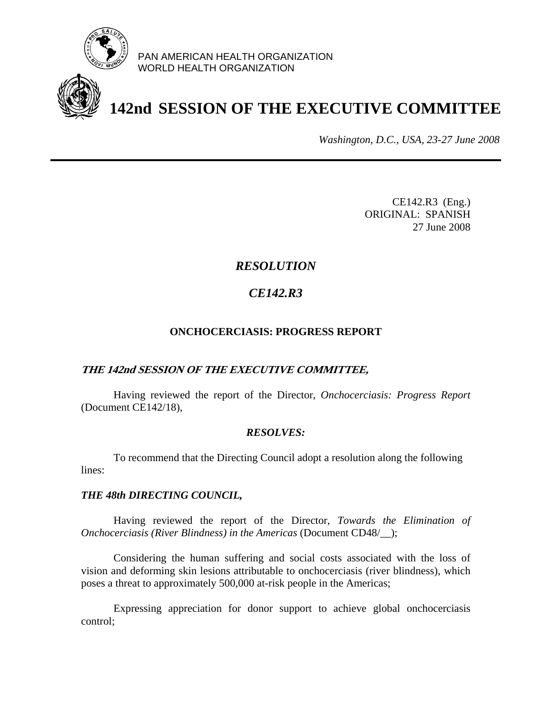

PAN AMERICAN HEALTH ORGANIZATION WORLD HEALTH ORGANIZATION

# **142nd SESSION OF THE EXECUTIVE COMMITTEE**

*Washington, D.C., USA, 23-27 June 2008*

CE142.R3 (Eng.) ORIGINAL: SPANISH 27 June 2008

## *RESOLUTION*

# *CE142.R3*

### **ONCHOCERCIASIS: PROGRESS REPORT**

### **THE 142nd SESSION OF THE EXECUTIVE COMMITTEE,**

 Having reviewed the report of the Director, *Onchocerciasis: Progress Report*  (Document CE142/18),

### *RESOLVES:*

 To recommend that the Directing Council adopt a resolution along the following lines:

#### *THE 48th DIRECTING COUNCIL,*

Having reviewed the report of the Director, *Towards the Elimination of Onchocerciasis (River Blindness) in the Americas* (Document CD48/\_\_);

 Considering the human suffering and social costs associated with the loss of vision and deforming skin lesions attributable to onchocerciasis (river blindness), which poses a threat to approximately 500,000 at-risk people in the Americas;

 Expressing appreciation for donor support to achieve global onchocerciasis control;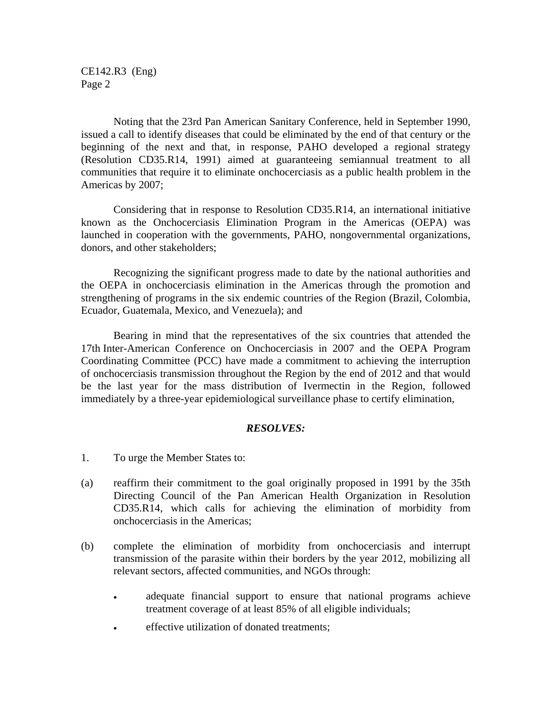CE142.R3 (Eng) Page 2

 Noting that the 23rd Pan American Sanitary Conference, held in September 1990, issued a call to identify diseases that could be eliminated by the end of that century or the beginning of the next and that, in response, PAHO developed a regional strategy (Resolution CD35.R14, 1991) aimed at guaranteeing semiannual treatment to all communities that require it to eliminate onchocerciasis as a public health problem in the Americas by 2007;

 Considering that in response to Resolution CD35.R14, an international initiative known as the Onchocerciasis Elimination Program in the Americas (OEPA) was launched in cooperation with the governments, PAHO, nongovernmental organizations, donors, and other stakeholders;

 Recognizing the significant progress made to date by the national authorities and the OEPA in onchocerciasis elimination in the Americas through the promotion and strengthening of programs in the six endemic countries of the Region (Brazil, Colombia, Ecuador, Guatemala, Mexico, and Venezuela); and

Bearing in mind that the representatives of the six countries that attended the 17th Inter-American Conference on Onchocerciasis in 2007 and the OEPA Program Coordinating Committee (PCC) have made a commitment to achieving the interruption of onchocerciasis transmission throughout the Region by the end of 2012 and that would be the last year for the mass distribution of Ivermectin in the Region, followed immediately by a three-year epidemiological surveillance phase to certify elimination,

#### *RESOLVES:*

- 1. To urge the Member States to:
- (a) reaffirm their commitment to the goal originally proposed in 1991 by the 35th Directing Council of the Pan American Health Organization in Resolution CD35.R14, which calls for achieving the elimination of morbidity from onchocerciasis in the Americas;
- (b) complete the elimination of morbidity from onchocerciasis and interrupt transmission of the parasite within their borders by the year 2012, mobilizing all relevant sectors, affected communities, and NGOs through:
	- adequate financial support to ensure that national programs achieve treatment coverage of at least 85% of all eligible individuals;
	- effective utilization of donated treatments;